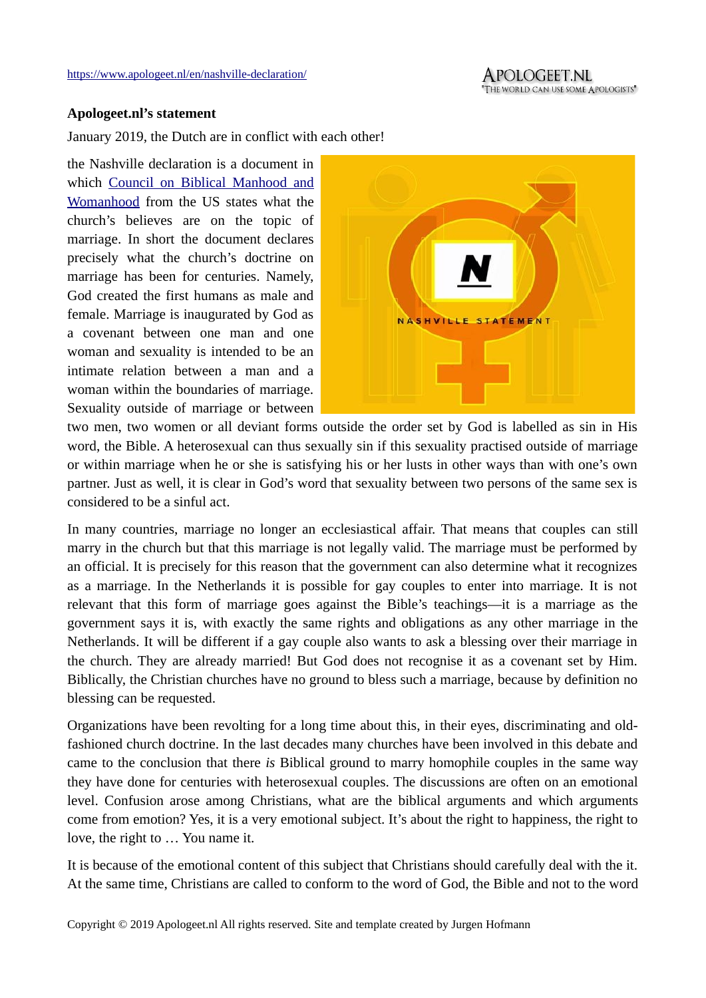#### **Apologeet.nl's statement**

January 2019, the Dutch are in conflict with each other!

the Nashville declaration is a document in which [Council on Biblical Manhood and](https://cbmw.org/) [Womanhood](https://cbmw.org/) from the US states what the church's believes are on the topic of marriage. In short the document declares precisely what the church's doctrine on marriage has been for centuries. Namely, God created the first humans as male and female. Marriage is inaugurated by God as a covenant between one man and one woman and sexuality is intended to be an intimate relation between a man and a woman within the boundaries of marriage. Sexuality outside of marriage or between



two men, two women or all deviant forms outside the order set by God is labelled as sin in His word, the Bible. A heterosexual can thus sexually sin if this sexuality practised outside of marriage or within marriage when he or she is satisfying his or her lusts in other ways than with one's own partner. Just as well, it is clear in God's word that sexuality between two persons of the same sex is considered to be a sinful act.

In many countries, marriage no longer an ecclesiastical affair. That means that couples can still marry in the church but that this marriage is not legally valid. The marriage must be performed by an official. It is precisely for this reason that the government can also determine what it recognizes as a marriage. In the Netherlands it is possible for gay couples to enter into marriage. It is not relevant that this form of marriage goes against the Bible's teachings—it is a marriage as the government says it is, with exactly the same rights and obligations as any other marriage in the Netherlands. It will be different if a gay couple also wants to ask a blessing over their marriage in the church. They are already married! But God does not recognise it as a covenant set by Him. Biblically, the Christian churches have no ground to bless such a marriage, because by definition no blessing can be requested.

Organizations have been revolting for a long time about this, in their eyes, discriminating and oldfashioned church doctrine. In the last decades many churches have been involved in this debate and came to the conclusion that there *is* Biblical ground to marry homophile couples in the same way they have done for centuries with heterosexual couples. The discussions are often on an emotional level. Confusion arose among Christians, what are the biblical arguments and which arguments come from emotion? Yes, it is a very emotional subject. It's about the right to happiness, the right to love, the right to … You name it.

It is because of the emotional content of this subject that Christians should carefully deal with the it. At the same time, Christians are called to conform to the word of God, the Bible and not to the word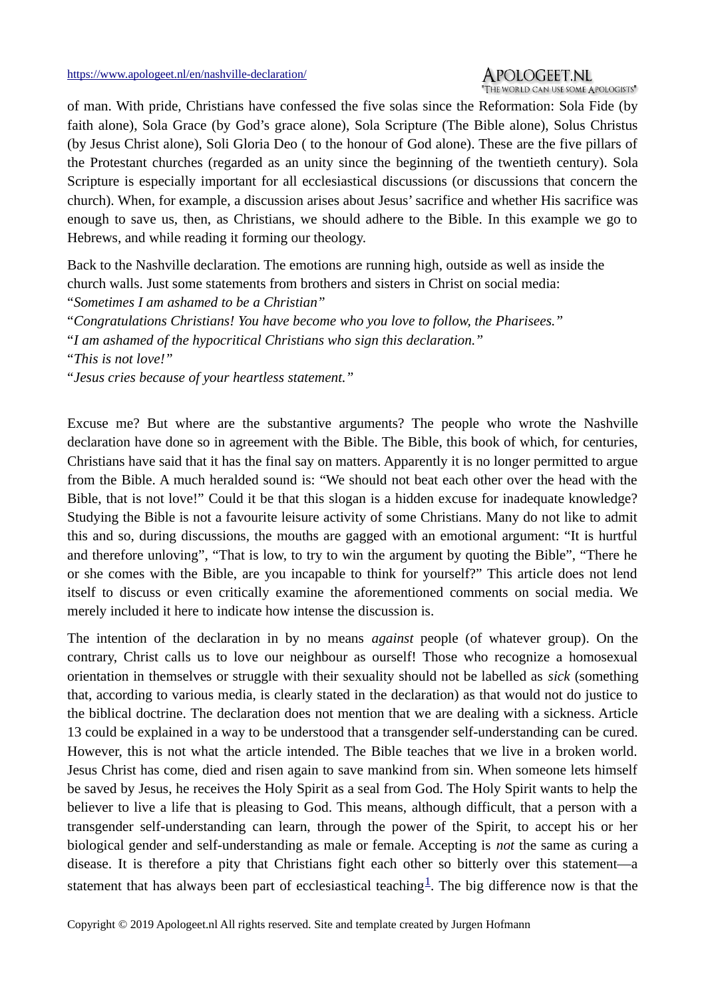of man. With pride, Christians have confessed the five solas since the Reformation: Sola Fide (by faith alone), Sola Grace (by God's grace alone), Sola Scripture (The Bible alone), Solus Christus (by Jesus Christ alone), Soli Gloria Deo ( to the honour of God alone). These are the five pillars of the Protestant churches (regarded as an unity since the beginning of the twentieth century). Sola Scripture is especially important for all ecclesiastical discussions (or discussions that concern the church). When, for example, a discussion arises about Jesus' sacrifice and whether His sacrifice was enough to save us, then, as Christians, we should adhere to the Bible. In this example we go to Hebrews, and while reading it forming our theology.

Back to the Nashville declaration. The emotions are running high, outside as well as inside the church walls. Just some statements from brothers and sisters in Christ on social media: "*Sometimes I am ashamed to be a Christian"*

"*Congratulations Christians! You have become who you love to follow, the Pharisees."*

"*I am ashamed of the hypocritical Christians who sign this declaration."*

"*This is not love!"*

"*Jesus cries because of your heartless statement."*

Excuse me? But where are the substantive arguments? The people who wrote the Nashville declaration have done so in agreement with the Bible. The Bible, this book of which, for centuries, Christians have said that it has the final say on matters. Apparently it is no longer permitted to argue from the Bible. A much heralded sound is: "We should not beat each other over the head with the Bible, that is not love!" Could it be that this slogan is a hidden excuse for inadequate knowledge? Studying the Bible is not a favourite leisure activity of some Christians. Many do not like to admit this and so, during discussions, the mouths are gagged with an emotional argument: "It is hurtful and therefore unloving", "That is low, to try to win the argument by quoting the Bible", "There he or she comes with the Bible, are you incapable to think for yourself?" This article does not lend itself to discuss or even critically examine the aforementioned comments on social media. We merely included it here to indicate how intense the discussion is.

The intention of the declaration in by no means *against* people (of whatever group). On the contrary, Christ calls us to love our neighbour as ourself! Those who recognize a homosexual orientation in themselves or struggle with their sexuality should not be labelled as *sick* (something that, according to various media, is clearly stated in the declaration) as that would not do justice to the biblical doctrine. The declaration does not mention that we are dealing with a sickness. Article 13 could be explained in a way to be understood that a transgender self-understanding can be cured. However, this is not what the article intended. The Bible teaches that we live in a broken world. Jesus Christ has come, died and risen again to save mankind from sin. When someone lets himself be saved by Jesus, he receives the Holy Spirit as a seal from God. The Holy Spirit wants to help the believer to live a life that is pleasing to God. This means, although difficult, that a person with a transgender self-understanding can learn, through the power of the Spirit, to accept his or her biological gender and self-understanding as male or female. Accepting is *not* the same as curing a disease. It is therefore a pity that Christians fight each other so bitterly over this statement—a statement that has always been part of ecclesiastical teaching<sup>[1](#page-6-0)</sup>. The big difference now is that the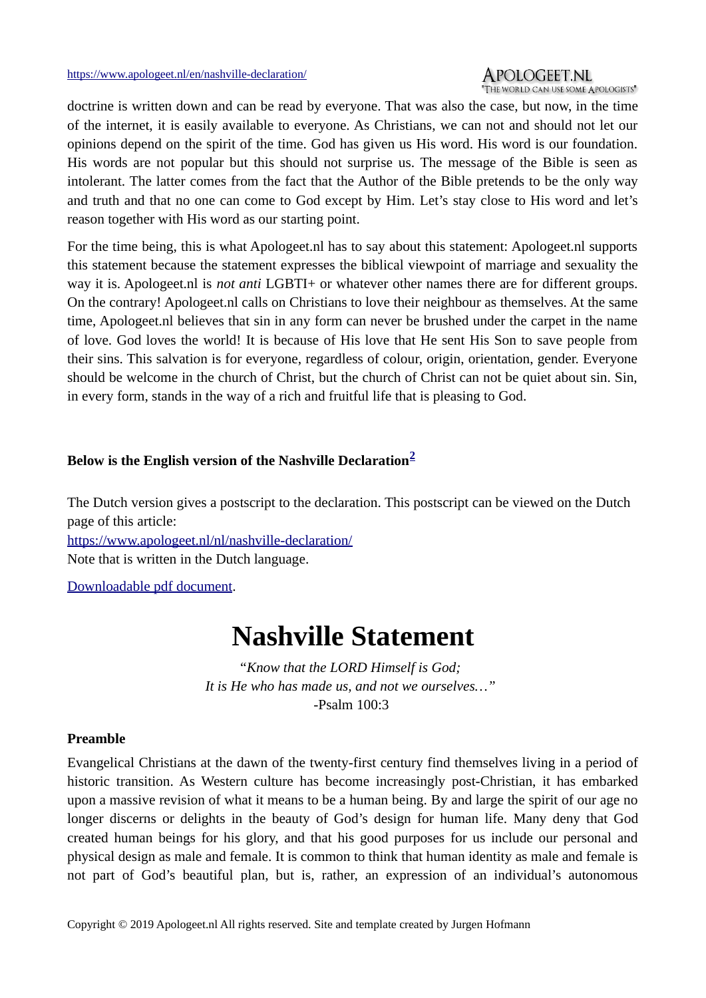#### <https://www.apologeet.nl/en/nashville-declaration/>

# **APOLOGEET.NL**

"THE WORLD CAN USE SOME APOLOGISTS"

doctrine is written down and can be read by everyone. That was also the case, but now, in the time of the internet, it is easily available to everyone. As Christians, we can not and should not let our opinions depend on the spirit of the time. God has given us His word. His word is our foundation. His words are not popular but this should not surprise us. The message of the Bible is seen as intolerant. The latter comes from the fact that the Author of the Bible pretends to be the only way and truth and that no one can come to God except by Him. Let's stay close to His word and let's reason together with His word as our starting point.

For the time being, this is what Apologeet.nl has to say about this statement: Apologeet.nl supports this statement because the statement expresses the biblical viewpoint of marriage and sexuality the way it is. Apologeet.nl is *not anti* LGBTI+ or whatever other names there are for different groups. On the contrary! Apologeet.nl calls on Christians to love their neighbour as themselves. At the same time, Apologeet.nl believes that sin in any form can never be brushed under the carpet in the name of love. God loves the world! It is because of His love that He sent His Son to save people from their sins. This salvation is for everyone, regardless of colour, origin, orientation, gender. Everyone should be welcome in the church of Christ, but the church of Christ can not be quiet about sin. Sin, in every form, stands in the way of a rich and fruitful life that is pleasing to God.

#### **Below is the English version of the Nashville Declaration[2](#page-6-1)**

The Dutch version gives a postscript to the declaration. This postscript can be viewed on the Dutch page of this article: <https://www.apologeet.nl/nl/nashville-declaration/>

Note that is written in the Dutch language.

[Downloadable pdf document](https://cbmw.org/wp-content/uploads/2017/08/Nashville-Statement-with-Scripture-Ref-1.pdf).

# **Nashville Statement**

"*Know that the LORD Himself is God; It is He who has made us, and not we ourselves…"*  -Psalm 100:3

#### **Preamble**

Evangelical Christians at the dawn of the twenty-first century find themselves living in a period of historic transition. As Western culture has become increasingly post-Christian, it has embarked upon a massive revision of what it means to be a human being. By and large the spirit of our age no longer discerns or delights in the beauty of God's design for human life. Many deny that God created human beings for his glory, and that his good purposes for us include our personal and physical design as male and female. It is common to think that human identity as male and female is not part of God's beautiful plan, but is, rather, an expression of an individual's autonomous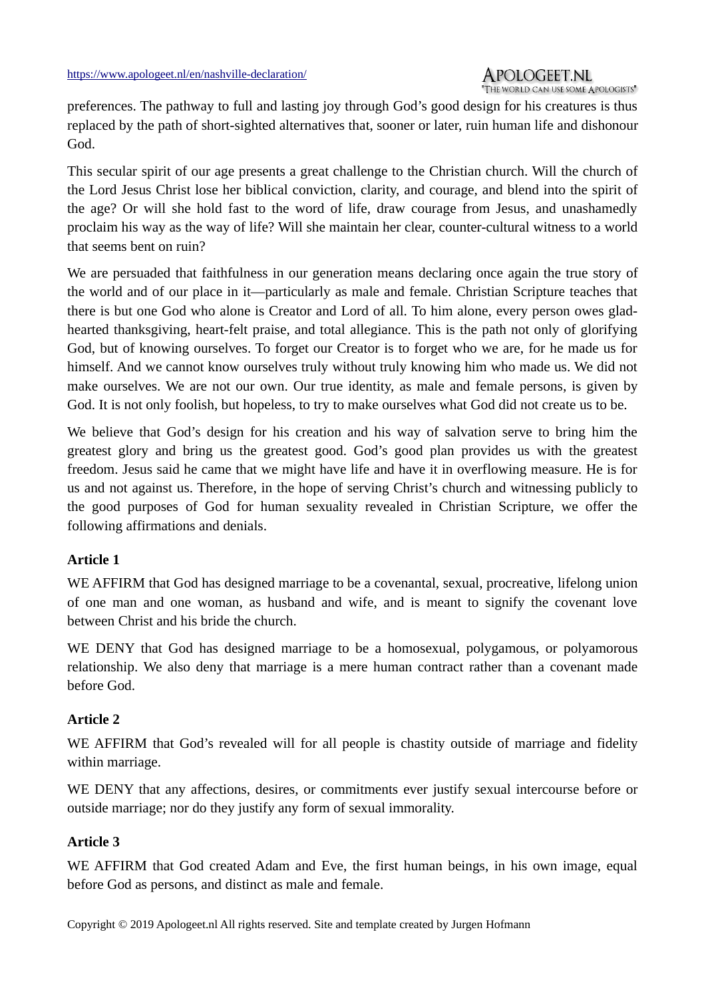preferences. The pathway to full and lasting joy through God's good design for his creatures is thus replaced by the path of short-sighted alternatives that, sooner or later, ruin human life and dishonour God.

This secular spirit of our age presents a great challenge to the Christian church. Will the church of the Lord Jesus Christ lose her biblical conviction, clarity, and courage, and blend into the spirit of the age? Or will she hold fast to the word of life, draw courage from Jesus, and unashamedly proclaim his way as the way of life? Will she maintain her clear, counter-cultural witness to a world that seems bent on ruin?

We are persuaded that faithfulness in our generation means declaring once again the true story of the world and of our place in it—particularly as male and female. Christian Scripture teaches that there is but one God who alone is Creator and Lord of all. To him alone, every person owes gladhearted thanksgiving, heart-felt praise, and total allegiance. This is the path not only of glorifying God, but of knowing ourselves. To forget our Creator is to forget who we are, for he made us for himself. And we cannot know ourselves truly without truly knowing him who made us. We did not make ourselves. We are not our own. Our true identity, as male and female persons, is given by God. It is not only foolish, but hopeless, to try to make ourselves what God did not create us to be.

We believe that God's design for his creation and his way of salvation serve to bring him the greatest glory and bring us the greatest good. God's good plan provides us with the greatest freedom. Jesus said he came that we might have life and have it in overflowing measure. He is for us and not against us. Therefore, in the hope of serving Christ's church and witnessing publicly to the good purposes of God for human sexuality revealed in Christian Scripture, we offer the following affirmations and denials.

## **Article 1**

WE AFFIRM that God has designed marriage to be a covenantal, sexual, procreative, lifelong union of one man and one woman, as husband and wife, and is meant to signify the covenant love between Christ and his bride the church.

WE DENY that God has designed marriage to be a homosexual, polygamous, or polyamorous relationship. We also deny that marriage is a mere human contract rather than a covenant made before God.

## **Article 2**

WE AFFIRM that God's revealed will for all people is chastity outside of marriage and fidelity within marriage.

WE DENY that any affections, desires, or commitments ever justify sexual intercourse before or outside marriage; nor do they justify any form of sexual immorality.

## **Article 3**

WE AFFIRM that God created Adam and Eve, the first human beings, in his own image, equal before God as persons, and distinct as male and female.

Copyright © 2019 Apologeet.nl All rights reserved. Site and template created by Jurgen Hofmann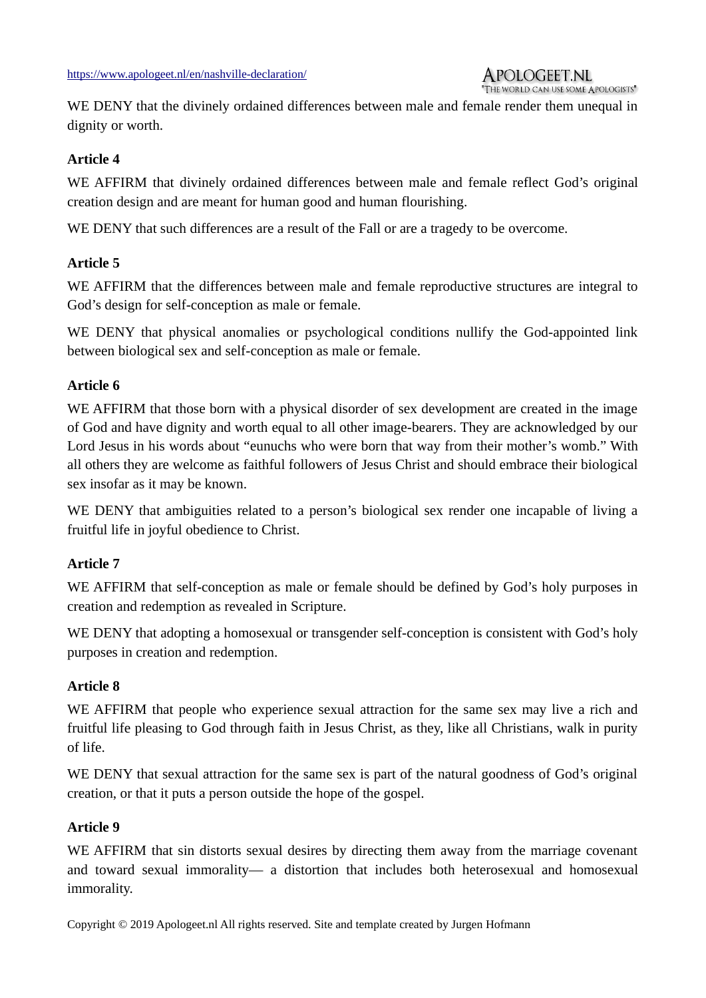WE DENY that the divinely ordained differences between male and female render them unequal in dignity or worth.

# **Article 4**

WE AFFIRM that divinely ordained differences between male and female reflect God's original creation design and are meant for human good and human flourishing.

WE DENY that such differences are a result of the Fall or are a tragedy to be overcome.

# **Article 5**

WE AFFIRM that the differences between male and female reproductive structures are integral to God's design for self-conception as male or female.

WE DENY that physical anomalies or psychological conditions nullify the God-appointed link between biological sex and self-conception as male or female.

## **Article 6**

WE AFFIRM that those born with a physical disorder of sex development are created in the image of God and have dignity and worth equal to all other image-bearers. They are acknowledged by our Lord Jesus in his words about "eunuchs who were born that way from their mother's womb." With all others they are welcome as faithful followers of Jesus Christ and should embrace their biological sex insofar as it may be known.

WE DENY that ambiguities related to a person's biological sex render one incapable of living a fruitful life in joyful obedience to Christ.

## **Article 7**

WE AFFIRM that self-conception as male or female should be defined by God's holy purposes in creation and redemption as revealed in Scripture.

WE DENY that adopting a homosexual or transgender self-conception is consistent with God's holy purposes in creation and redemption.

## **Article 8**

WE AFFIRM that people who experience sexual attraction for the same sex may live a rich and fruitful life pleasing to God through faith in Jesus Christ, as they, like all Christians, walk in purity of life.

WE DENY that sexual attraction for the same sex is part of the natural goodness of God's original creation, or that it puts a person outside the hope of the gospel.

## **Article 9**

WE AFFIRM that sin distorts sexual desires by directing them away from the marriage covenant and toward sexual immorality— a distortion that includes both heterosexual and homosexual immorality.

Copyright © 2019 Apologeet.nl All rights reserved. Site and template created by Jurgen Hofmann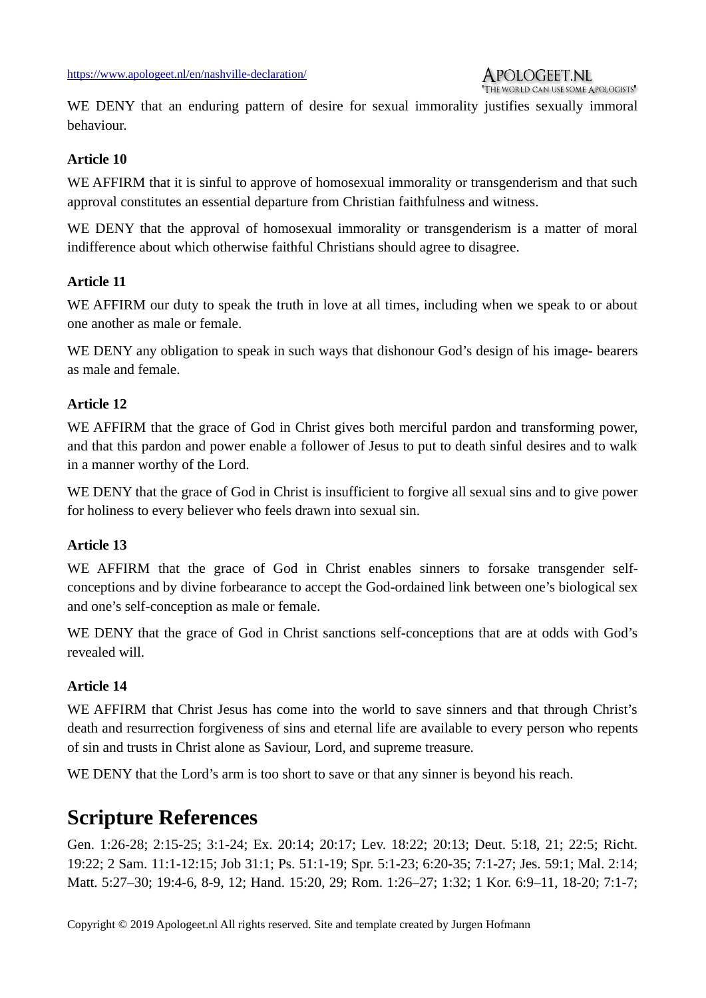WE DENY that an enduring pattern of desire for sexual immorality justifies sexually immoral behaviour.

# **Article 10**

WE AFFIRM that it is sinful to approve of homosexual immorality or transgenderism and that such approval constitutes an essential departure from Christian faithfulness and witness.

WE DENY that the approval of homosexual immorality or transgenderism is a matter of moral indifference about which otherwise faithful Christians should agree to disagree.

## **Article 11**

WE AFFIRM our duty to speak the truth in love at all times, including when we speak to or about one another as male or female.

WE DENY any obligation to speak in such ways that dishonour God's design of his image- bearers as male and female.

## **Article 12**

WE AFFIRM that the grace of God in Christ gives both merciful pardon and transforming power, and that this pardon and power enable a follower of Jesus to put to death sinful desires and to walk in a manner worthy of the Lord.

WE DENY that the grace of God in Christ is insufficient to forgive all sexual sins and to give power for holiness to every believer who feels drawn into sexual sin.

#### **Article 13**

WE AFFIRM that the grace of God in Christ enables sinners to forsake transgender selfconceptions and by divine forbearance to accept the God-ordained link between one's biological sex and one's self-conception as male or female.

WE DENY that the grace of God in Christ sanctions self-conceptions that are at odds with God's revealed will.

#### **Article 14**

WE AFFIRM that Christ Jesus has come into the world to save sinners and that through Christ's death and resurrection forgiveness of sins and eternal life are available to every person who repents of sin and trusts in Christ alone as Saviour, Lord, and supreme treasure.

WE DENY that the Lord's arm is too short to save or that any sinner is beyond his reach.

# **Scripture References**

Gen. 1:26-28; 2:15-25; 3:1-24; Ex. 20:14; 20:17; Lev. 18:22; 20:13; Deut. 5:18, 21; 22:5; Richt. 19:22; 2 Sam. 11:1-12:15; Job 31:1; Ps. 51:1-19; Spr. 5:1-23; 6:20-35; 7:1-27; Jes. 59:1; Mal. 2:14; Matt. 5:27–30; 19:4-6, 8-9, 12; Hand. 15:20, 29; Rom. 1:26–27; 1:32; 1 Kor. 6:9–11, 18-20; 7:1-7;